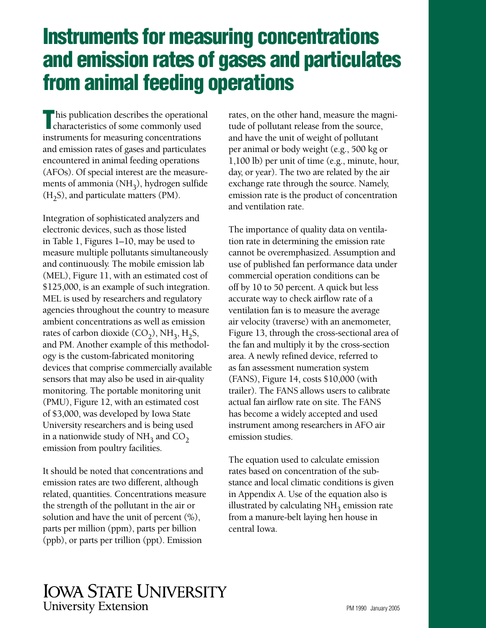# **Instruments for measuring concentrations and emission rates of gases and particulates from animal feeding operations**

characteristics of some commonly used his publication describes the operational instruments for measuring concentrations and emission rates of gases and particulates encountered in animal feeding operations (AFOs). Of special interest are the measurements of ammonia  $(NH_3)$ , hydrogen sulfide  $(H<sub>2</sub>S)$ , and particulate matters (PM).

Integration of sophisticated analyzers and electronic devices, such as those listed in Table 1, Figures 1–10, may be used to measure multiple pollutants simultaneously and continuously. The mobile emission lab (MEL), Figure 11, with an estimated cost of \$125,000, is an example of such integration. MEL is used by researchers and regulatory agencies throughout the country to measure ambient concentrations as well as emission rates of carbon dioxide  $(CO_2)$ , NH<sub>3</sub>, H<sub>2</sub>S, and PM. Another example of this methodology is the custom-fabricated monitoring devices that comprise commercially available sensors that may also be used in air-quality monitoring. The portable monitoring unit (PMU), Figure 12, with an estimated cost of \$3,000, was developed by Iowa State University researchers and is being used in a nationwide study of  $NH<sub>3</sub>$  and  $CO<sub>2</sub>$ emission from poultry facilities.

It should be noted that concentrations and emission rates are two different, although related, quantities. Concentrations measure the strength of the pollutant in the air or solution and have the unit of percent (%), parts per million (ppm), parts per billion (ppb), or parts per trillion (ppt). Emission

rates, on the other hand, measure the magnitude of pollutant release from the source, and have the unit of weight of pollutant per animal or body weight (e.g., 500 kg or 1,100 lb) per unit of time (e.g., minute, hour, day, or year). The two are related by the air exchange rate through the source. Namely, emission rate is the product of concentration and ventilation rate.

The importance of quality data on ventilation rate in determining the emission rate cannot be overemphasized. Assumption and use of published fan performance data under commercial operation conditions can be off by 10 to 50 percent. A quick but less accurate way to check airflow rate of a ventilation fan is to measure the average air velocity (traverse) with an anemometer, Figure 13, through the cross-sectional area of the fan and multiply it by the cross-section area. A newly refined device, referred to as fan assessment numeration system (FANS), Figure 14, costs \$10,000 (with trailer). The FANS allows users to calibrate actual fan airflow rate on site. The FANS has become a widely accepted and used instrument among researchers in AFO air emission studies.

The equation used to calculate emission rates based on concentration of the substance and local climatic conditions is given in Appendix A. Use of the equation also is illustrated by calculating  $NH<sub>3</sub>$  emission rate from a manure-belt laying hen house in central Iowa.

### **IOWA STATE UNIVERSITY University Extension**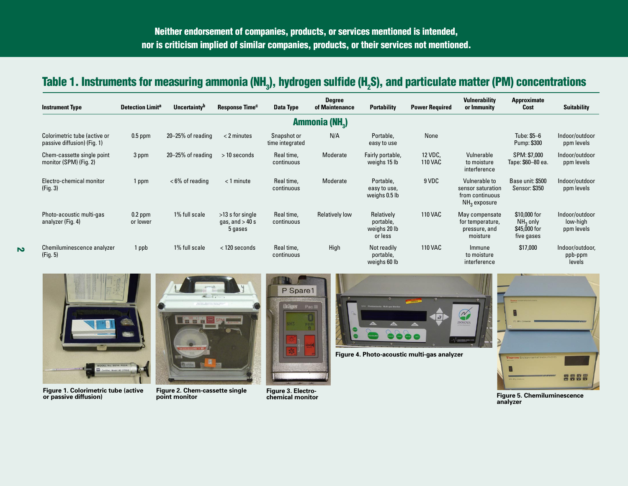## **Table 1. Instruments for measuring ammonia (NH3), hydrogen sulfide (H2S), and particulate matter (PM) concentrations**

| <b>Instrument Type</b>                                      | <b>Detection Limita</b> | Uncertainty <sup>b</sup> | Response Time <sup>c</sup>                         | Data Type                      | <b>Degree</b><br>of Maintenance | <b>Portability</b>                                 | <b>Power Required</b>     | <b>Vulnerability</b><br>or Immunity                                     | Approximate<br>Cost                                      | <b>Suitability</b>                       |  |
|-------------------------------------------------------------|-------------------------|--------------------------|----------------------------------------------------|--------------------------------|---------------------------------|----------------------------------------------------|---------------------------|-------------------------------------------------------------------------|----------------------------------------------------------|------------------------------------------|--|
| Ammonia (NH <sub>2</sub> )                                  |                         |                          |                                                    |                                |                                 |                                                    |                           |                                                                         |                                                          |                                          |  |
| Colorimetric tube (active or<br>passive diffusion) (Fig. 1) | $0.5$ ppm               | $20 - 25%$ of reading    | $<$ 2 minutes                                      | Snapshot or<br>time integrated | N/A                             | Portable,<br>easy to use                           | None                      |                                                                         | Tube: \$5–6<br>Pump: \$300                               | Indoor/outdoor<br>ppm levels             |  |
| Chem-cassette single point<br>monitor (SPM) (Fig. 2)        | 3 ppm                   | $20 - 25%$ of reading    | $>10$ seconds                                      | Real time,<br>continuous       | Moderate                        | Fairly portable,<br>weighs 15 lb                   | 12 VDC,<br><b>110 VAC</b> | Vulnerable<br>to moisture<br>interference                               | SPM: \$7,000<br>Tape: \$60-80 ea.                        | Indoor/outdoor<br>ppm levels             |  |
| Electro-chemical monitor<br>(Fig. 3)                        | 1 ppm                   | $<$ 6% of reading        | $<$ 1 minute                                       | Real time,<br>continuous       | Moderate                        | Portable,<br>easy to use,<br>weighs 0.5 lb         | 9 VDC                     | Vulnerable to<br>sensor saturation<br>from continuous<br>$NH3$ exposure | Base unit: \$500<br>Sensor: \$350                        | Indoor/outdoor<br>ppm levels             |  |
| Photo-acoustic multi-gas<br>analyzer (Fig. 4)               | $0.2$ ppm<br>or lower   | 1% full scale            | $>13$ s for single<br>gas, and $> 40$ s<br>5 gases | Real time,<br>continuous       | <b>Relatively low</b>           | Relatively<br>portable,<br>weighs 20 lb<br>or less | <b>110 VAC</b>            | May compensate<br>for temperature,<br>pressure, and<br>moisture         | \$10,000 for<br>$NH3$ only<br>\$45,000 for<br>five gases | Indoor/outdoor<br>low-high<br>ppm levels |  |
| Chemiluminescence analyzer<br>(Fig. 5)                      | 1 ppb                   | 1% full scale            | $<$ 120 seconds                                    | Real time,<br>continuous       | High                            | Not readily<br>portable,<br>weighs 60 lb           | <b>110 VAC</b>            | Immune<br>to moisture<br>interference                                   | \$17,000                                                 | Indoor/outdoor,<br>ppb-ppm<br>levels     |  |



**2** 

**Figure 1. Colorimetric tube (active or passive diffusion)** 



P Spare1



**Figure 4. Photo-acoustic multi-gas analyzer** 



**Figure 2. Chem-cassette single Figure 3. Electro-point monitor chemical monitor Figure 5. Chemiluminescence analyzer**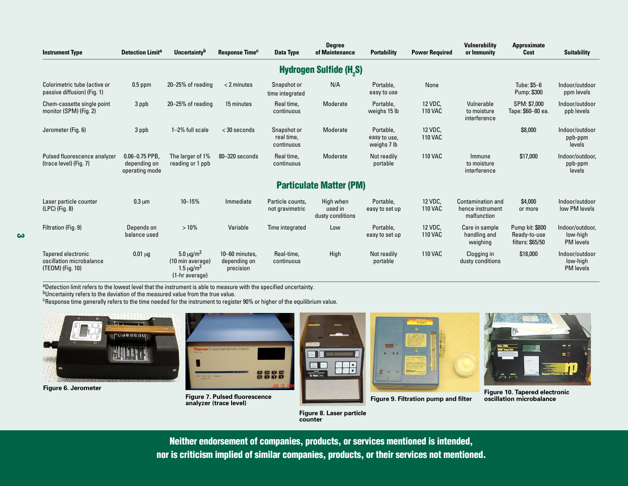| <b>Instrument Type</b>                                             | <b>Detection Limita</b>                              | <b>Uncertainty</b> <sup>b</sup>                                                                  | Response Time <sup>c</sup>                  | Data Type                               | <b>Degree</b><br>of Maintenance          | <b>Portability</b>                       | <b>Power Required</b>     | Vulnerability<br>or Immunity                                | Approximate<br>Cost                                 | <b>Suitability</b>                              |  |
|--------------------------------------------------------------------|------------------------------------------------------|--------------------------------------------------------------------------------------------------|---------------------------------------------|-----------------------------------------|------------------------------------------|------------------------------------------|---------------------------|-------------------------------------------------------------|-----------------------------------------------------|-------------------------------------------------|--|
| <b>Hydrogen Sulfide (H<sub>2</sub>S)</b>                           |                                                      |                                                                                                  |                                             |                                         |                                          |                                          |                           |                                                             |                                                     |                                                 |  |
| Colorimetric tube (active or<br>passive diffusion) (Fig. 1)        | $0.5$ ppm                                            | 20-25% of reading                                                                                | $<$ 2 minutes                               | Snapshot or<br>time integrated          | N/A                                      | Portable.<br>easy to use                 | None                      |                                                             | Tube: \$5-6<br>Pump: \$300                          | Indoor/outdoor<br>ppm levels                    |  |
| Chem-cassette single point<br>monitor (SPM) (Fig. 2)               | 3 ppb                                                | $20 - 25%$ of reading                                                                            | 15 minutes                                  | Real time,<br>continuous                | Moderate                                 | Portable,<br>weighs 15 lb                | 12 VDC,<br><b>110 VAC</b> | Vulnerable<br>to moisture<br>interference                   | SPM: \$7,000<br>Tape: \$60-80 ea.                   | Indoor/outdoor<br>ppb levels                    |  |
| Jerometer (Fig. 6)                                                 | 3 ppb                                                | 1-2% full scale                                                                                  | $<$ 30 seconds                              | Snapshot or<br>real time,<br>continuous | Moderate                                 | Portable.<br>easy to use,<br>weighs 7 lb | 12 VDC,<br><b>110 VAC</b> |                                                             | \$8,000                                             | Indoor/outdoor<br>ppb-ppm<br>levels             |  |
| Pulsed fluorescence analyzer<br>(trace level) (Fig. 7)             | $0.06 - 0.75$ PPB.<br>depending on<br>operating mode | The larger of 1%<br>reading or 1 ppb                                                             | 80-320 seconds                              | Real time,<br>continuous                | Moderate                                 | Not readily<br>portable                  | <b>110 VAC</b>            | Immune<br>to moisture<br>interference                       | \$17,000                                            | Indoor/outdoor,<br>ppb-ppm<br>levels            |  |
|                                                                    |                                                      |                                                                                                  |                                             |                                         | <b>Particulate Matter (PM)</b>           |                                          |                           |                                                             |                                                     |                                                 |  |
| Laser particle counter<br>$(LPC)$ (Fig. 8)                         | $0.3 \mu m$                                          | $10 - 15%$                                                                                       | Immediate                                   | Particle counts.<br>not gravimetric     | High when<br>used in<br>dusty conditions | Portable.<br>easy to set up              | 12 VDC,<br><b>110 VAC</b> | <b>Contamination and</b><br>hence instrument<br>malfunction | \$4,000<br>or more                                  | Indoor/outdoor<br>low PM levels                 |  |
| Filtration (Fig. 9)                                                | Depends on<br>balance used                           | $>10\%$                                                                                          | Variable                                    | Time integrated                         | Low                                      | Portable.<br>easy to set up              | 12 VDC,<br><b>110 VAC</b> | Care in sample<br>handling and<br>weighing                  | Pump kit: \$800<br>Ready-to-use<br>filters: \$65/50 | Indoor/outdoor,<br>low-high<br><b>PM</b> levels |  |
| Tapered electronic<br>oscillation microbalance<br>(TEOM) (Fig. 10) | $0.01 \mu g$                                         | 5.0 $\mu$ g/m <sup>3</sup><br>(10 min average)<br>$1.5 \,\mathrm{\upmu g/m^3}$<br>(1-hr average) | 10-60 minutes.<br>depending on<br>precision | Real-time.<br>continuous                | High                                     | Not readily<br>portable                  | <b>110 VAC</b>            | Clogging in<br>dusty conditions                             | \$18,000                                            | Indoor/outdoor<br>low-high<br><b>PM</b> levels  |  |

aDetection limit refers to the lowest level that the instrument is able to measure with the specified uncertainty.

bUncertainty refers to the deviation of the measured value from the true value.

<sup>c</sup>Response time generally refers to the time needed for the instrument to register 90% or higher of the equilibrium value.



**Figure 6. Jerometer** 



**Figure 7. Pulsed fluorescence analyzer (trace level) Figure 9. Filtration pump and filter** 





**Figure 10. Tapered electronic oscillation microbalance** 

**Figure 8. Laser particle counter** 

**Neither endorsement of companies, products, or services mentioned is intended, nor is criticism implied of similar companies, products, or their services not mentioned.** 

**3 3**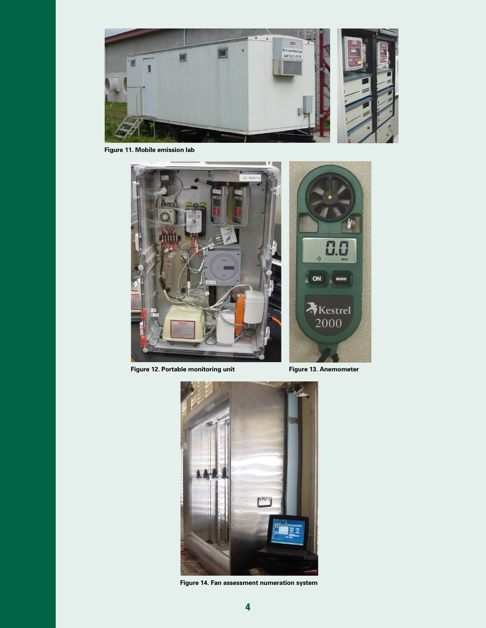

**Figure 11. Mobile emission lab** 



Figure 12. Portable monitoring unit Figure 13. Anemometer



**Figure 14. Fan assessment numeration system**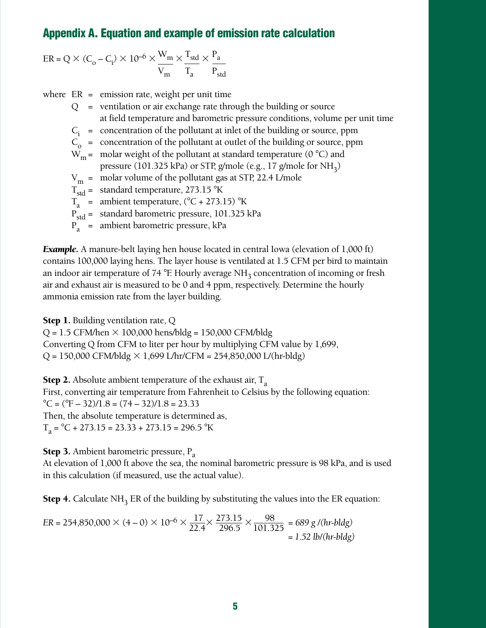#### **Appendix A. Equation and example of emission rate calculation**

$$
ER = Q \times (C_0 - C_i) \times 10^{-6} \times \frac{W_m}{V_m} \times \frac{T_{std}}{T_a} \times \frac{P_a}{P_{std}}
$$

where  $ER =$  emission rate, weight per unit time

- $Q =$  ventilation or air exchange rate through the building or source at field temperature and barometric pressure conditions, volume per unit time
- $C_i$  = concentration of the pollutant at inlet of the building or source, ppm
- $C_0$  = concentration of the pollutant at outlet of the building or source, ppm
- $W_m$  = molar weight of the pollutant at standard temperature (0 °C) and

pressure (101.325 kPa) or STP, g/mole (e.g., 17 g/mole for  $NH<sub>3</sub>$ )

- $V_m$  = molar volume of the pollutant gas at STP, 22.4 L/mole
- $T_{\text{std}}$  = standard temperature, 273.15 °K
- $T_a$  = ambient temperature, (°C + 273.15) °K
- $P_{\text{std}} =$  standard barometric pressure, 101.325 kPa
- $P_{a}$  = ambient barometric pressure, kPa

*Example.* A manure-belt laying hen house located in central Iowa (elevation of 1,000 ft) contains 100,000 laying hens. The layer house is ventilated at 1.5 CFM per bird to maintain an indoor air temperature of 74  $^{\circ}$ F. Hourly average NH<sub>3</sub> concentration of incoming or fresh air and exhaust air is measured to be 0 and 4 ppm, respectively. Determine the hourly ammonia emission rate from the layer building.

**Step 1.** Building ventilation rate, Q

 $Q = 1.5$  CFM/hen  $\times$  100,000 hens/bldg = 150,000 CFM/bldg

Converting Q from CFM to liter per hour by multiplying CFM value by 1,699,

 $Q = 150,000 \text{ CFM/b}$ ldg  $\times 1,699 \text{ L/hr/CFM} = 254,850,000 \text{ L/(hr-b}$ ldg)

**Step 2.** Absolute ambient temperature of the exhaust air,  $T_a$ First, converting air temperature from Fahrenheit to Celsius by the following equation:  $^{\circ}$ C = ( $^{\circ}$ F – 32)/1.8 = (74 – 32)/1.8 = 23.33 Then, the absolute temperature is determined as,  $T_a = {}^{\circ}C + 273.15 = 23.33 + 273.15 = 296.5 {}^{\circ}K$ 

**Step 3.** Ambient barometric pressure,  $P_a$ 

At elevation of 1,000 ft above the sea, the nominal barometric pressure is 98 kPa, and is used in this calculation (if measured, use the actual value).

**Step 4.** Calculate NH<sub>3</sub> ER of the building by substituting the values into the ER equation:

$$
ER = 254,850,000 \times (4-0) \times 10^{-6} \times \frac{17}{22.4} \times \frac{273.15}{296.5} \times \frac{98}{101.325} = 689 \text{ g/(hr-bldg)} = 1.52 \text{ lb/(hr-bldg)}
$$